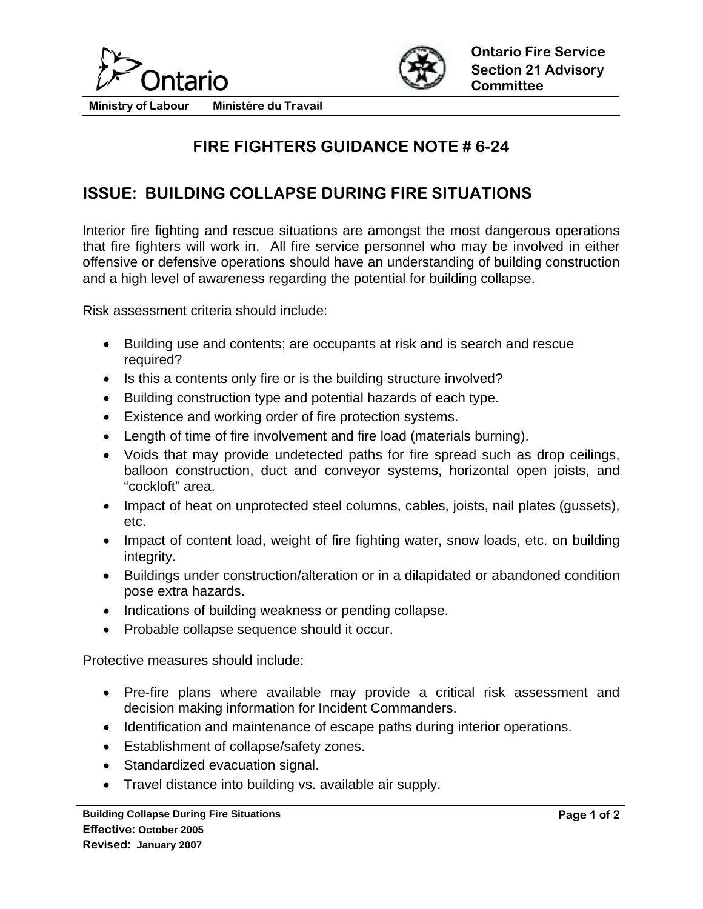



**Ministry of Labour Ministére du Travail** 

## **FIRE FIGHTERS GUIDANCE NOTE # 6-24**

## **ISSUE: BUILDING COLLAPSE DURING FIRE SITUATIONS**

Interior fire fighting and rescue situations are amongst the most dangerous operations that fire fighters will work in. All fire service personnel who may be involved in either offensive or defensive operations should have an understanding of building construction and a high level of awareness regarding the potential for building collapse.

Risk assessment criteria should include:

- Building use and contents; are occupants at risk and is search and rescue required?
- Is this a contents only fire or is the building structure involved?
- Building construction type and potential hazards of each type.
- Existence and working order of fire protection systems.
- Length of time of fire involvement and fire load (materials burning).
- Voids that may provide undetected paths for fire spread such as drop ceilings, balloon construction, duct and conveyor systems, horizontal open joists, and "cockloft" area.
- Impact of heat on unprotected steel columns, cables, joists, nail plates (qussets), etc.
- Impact of content load, weight of fire fighting water, snow loads, etc. on building integrity.
- Buildings under construction/alteration or in a dilapidated or abandoned condition pose extra hazards.
- Indications of building weakness or pending collapse.
- Probable collapse sequence should it occur.

Protective measures should include:

- Pre-fire plans where available may provide a critical risk assessment and decision making information for Incident Commanders.
- Identification and maintenance of escape paths during interior operations.
- Establishment of collapse/safety zones.
- Standardized evacuation signal.
- Travel distance into building vs. available air supply.